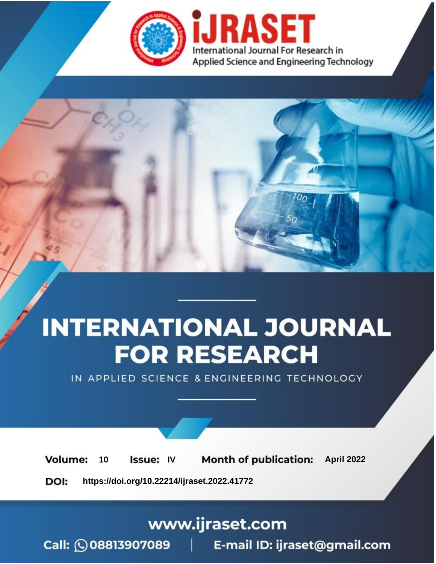

# **INTERNATIONAL JOURNAL FOR RESEARCH**

IN APPLIED SCIENCE & ENGINEERING TECHNOLOGY

10 **Issue: IV Month of publication:** April 2022 **Volume:** 

**https://doi.org/10.22214/ijraset.2022.41772**DOI:

www.ijraset.com

Call: 008813907089 | E-mail ID: ijraset@gmail.com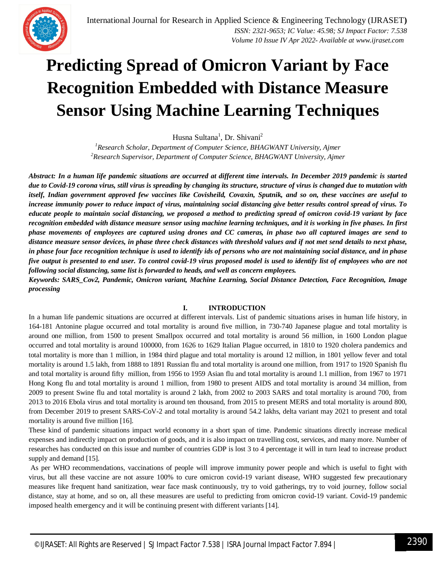### **Predicting Spread of Omicron Variant by Face Recognition Embedded with Distance Measure Sensor Using Machine Learning Techniques**

Husna Sultana<sup>1</sup>, Dr. Shivani<sup>2</sup>

*<sup>1</sup>Research Scholar, Department of Computer Science, BHAGWANT University, Ajmer <sup>2</sup>Research Supervisor, Department of Computer Science, BHAGWANT University, Ajmer*

*Abstract: In a human life pandemic situations are occurred at different time intervals. In December 2019 pandemic is started due to Covid-19 corona virus, still virus is spreading by changing its structure, structure of virus is changed due to mutation with itself, Indian government approved few vaccines like Covisheild, Covaxin, Sputnik, and so on, these vaccines are useful to increase immunity power to reduce impact of virus, maintaining social distancing give better results control spread of virus. To educate people to maintain social distancing, we proposed a method to predicting spread of omicron covid-19 variant by face recognition embedded with distance measure sensor using machine learning techniques, and it is working in five phases. In first phase movements of employees are captured using drones and CC cameras, in phase two all captured images are send to distance measure sensor devices, in phase three check distances with threshold values and if not met send details to next phase, in phase four face recognition technique is used to identify ids of persons who are not maintaining social distance, and in phase five output is presented to end user. To control covid-19 virus proposed model is used to identify list of employees who are not following social distancing, same list is forwarded to heads, and well as concern employees.* 

*Keywords: SARS\_Cov2, Pandemic, Omicron variant, Machine Learning, Social Distance Detection, Face Recognition, Image processing* 

#### **I. INTRODUCTION**

In a human life pandemic situations are occurred at different intervals. List of pandemic situations arises in human life history, in 164-181 Antonine plague occurred and total mortality is around five million, in 730-740 Japanese plague and total mortality is around one million, from 1500 to present Smallpox occurred and total mortality is around 56 million, in 1600 London plague occurred and total mortality is around 100000, from 1626 to 1629 Italian Plague occurred, in 1810 to 1920 cholera pandemics and total mortality is more than 1 million, in 1984 third plague and total mortality is around 12 million, in 1801 yellow fever and total mortality is around 1.5 lakh, from 1888 to 1891 Russian flu and total mortality is around one million, from 1917 to 1920 Spanish flu and total mortality is around fifty million, from 1956 to 1959 Asian flu and total mortality is around 1.1 million, from 1967 to 1971 Hong Kong flu and total mortality is around 1 million, from 1980 to present AIDS and total mortality is around 34 million, from 2009 to present Swine flu and total mortality is around 2 lakh, from 2002 to 2003 SARS and total mortality is around 700, from 2013 to 2016 Ebola virus and total mortality is around ten thousand, from 2015 to present MERS and total mortality is around 800, from December 2019 to present SARS-CoV-2 and total mortality is around 54.2 lakhs, delta variant may 2021 to present and total mortality is around five million [16].

These kind of pandemic situations impact world economy in a short span of time. Pandemic situations directly increase medical expenses and indirectly impact on production of goods, and it is also impact on travelling cost, services, and many more. Number of researches has conducted on this issue and number of countries GDP is lost 3 to 4 percentage it will in turn lead to increase product supply and demand [15].

As per WHO recommendations, vaccinations of people will improve immunity power people and which is useful to fight with virus, but all these vaccine are not assure 100% to cure omicron covid-19 variant disease, WHO suggested few precautionary measures like frequent hand sanitization, wear face mask continuously, try to void gatherings, try to void journey, follow social distance, stay at home, and so on, all these measures are useful to predicting from omicron covid-19 variant. Covid-19 pandemic imposed health emergency and it will be continuing present with different variants [14].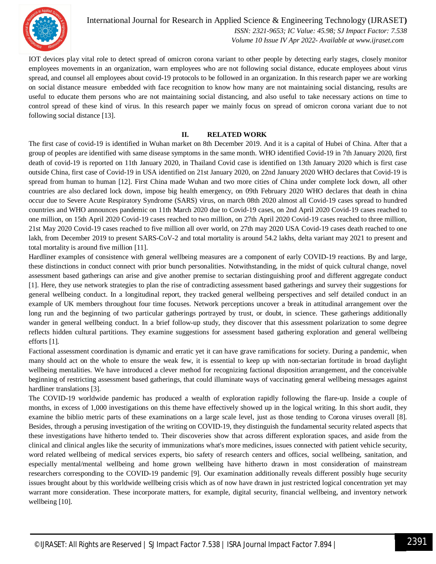

International Journal for Research in Applied Science & Engineering Technology (IJRASET**)**  *ISSN: 2321-9653; IC Value: 45.98; SJ Impact Factor: 7.538*

 *Volume 10 Issue IV Apr 2022- Available at www.ijraset.com*

IOT devices play vital role to detect spread of omicron corona variant to other people by detecting early stages, closely monitor employees movements in an organization, warn employees who are not following social distance, educate employees about virus spread, and counsel all employees about covid-19 protocols to be followed in an organization. In this research paper we are working on social distance measure embedded with face recognition to know how many are not maintaining social distancing, results are useful to educate them persons who are not maintaining social distancing, and also useful to take necessary actions on time to control spread of these kind of virus. In this research paper we mainly focus on spread of omicron corona variant due to not following social distance [13].

#### **II. RELATED WORK**

The first case of covid-19 is identified in Wuhan market on 8th December 2019. And it is a capital of Hubei of China. After that a group of peoples are identified with same disease symptoms in the same month. WHO identified Covid-19 in 7th January 2020, first death of covid-19 is reported on 11th January 2020, in Thailand Covid case is identified on 13th January 2020 which is first case outside China, first case of Covid-19 in USA identified on 21st January 2020, on 22nd January 2020 WHO declares that Covid-19 is spread from human to human [12]. First China made Wuhan and two more cities of China under complete lock down, all other countries are also declared lock down, impose big health emergency, on 09th February 2020 WHO declares that death in china occur due to Severe Acute Respiratory Syndrome (SARS) virus, on march 08th 2020 almost all Covid-19 cases spread to hundred countries and WHO announces pandemic on 11th March 2020 due to Covid-19 cases, on 2nd April 2020 Covid-19 cases reached to one million, on 15th April 2020 Covid-19 cases reached to two million, on 27th April 2020 Covid-19 cases reached to three million, 21st May 2020 Covid-19 cases reached to five million all over world, on 27th may 2020 USA Covid-19 cases death reached to one lakh, from December 2019 to present SARS-CoV-2 and total mortality is around 54.2 lakhs, delta variant may 2021 to present and total mortality is around five million [11].

Hardliner examples of consistence with general wellbeing measures are a component of early COVID-19 reactions. By and large, these distinctions in conduct connect with prior bunch personalities. Notwithstanding, in the midst of quick cultural change, novel assessment based gatherings can arise and give another premise to sectarian distinguishing proof and different aggregate conduct [1]. Here, they use network strategies to plan the rise of contradicting assessment based gatherings and survey their suggestions for general wellbeing conduct. In a longitudinal report, they tracked general wellbeing perspectives and self detailed conduct in an example of UK members throughout four time focuses. Network perceptions uncover a break in attitudinal arrangement over the long run and the beginning of two particular gatherings portrayed by trust, or doubt, in science. These gatherings additionally wander in general wellbeing conduct. In a brief follow-up study, they discover that this assessment polarization to some degree reflects hidden cultural partitions. They examine suggestions for assessment based gathering exploration and general wellbeing efforts [1].

Factional assessment coordination is dynamic and erratic yet it can have grave ramifications for society. During a pandemic, when many should act on the whole to ensure the weak few, it is essential to keep up with non-sectarian fortitude in broad daylight wellbeing mentalities. We have introduced a clever method for recognizing factional disposition arrangement, and the conceivable beginning of restricting assessment based gatherings, that could illuminate ways of vaccinating general wellbeing messages against hardliner translations [3].

The COVID-19 worldwide pandemic has produced a wealth of exploration rapidly following the flare-up. Inside a couple of months, in excess of 1,000 investigations on this theme have effectively showed up in the logical writing. In this short audit, they examine the biblio metric parts of these examinations on a large scale level, just as those tending to Corona viruses overall [8]. Besides, through a perusing investigation of the writing on COVID-19, they distinguish the fundamental security related aspects that these investigations have hitherto tended to. Their discoveries show that across different exploration spaces, and aside from the clinical and clinical angles like the security of immunizations what's more medicines, issues connected with patient vehicle security, word related wellbeing of medical services experts, bio safety of research centers and offices, social wellbeing, sanitation, and especially mental/mental wellbeing and home grown wellbeing have hitherto drawn in most consideration of mainstream researchers corresponding to the COVID-19 pandemic [9]. Our examination additionally reveals different possibly huge security issues brought about by this worldwide wellbeing crisis which as of now have drawn in just restricted logical concentration yet may warrant more consideration. These incorporate matters, for example, digital security, financial wellbeing, and inventory network wellbeing [10].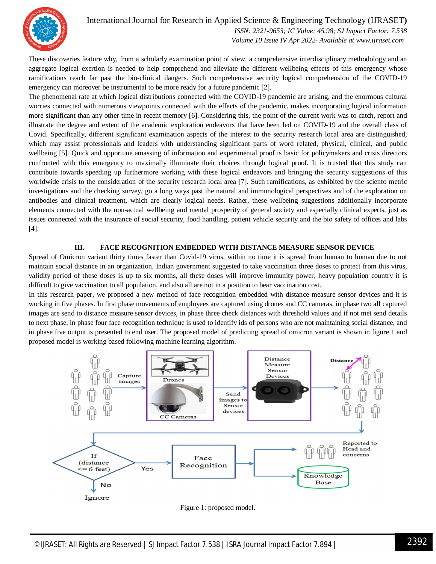

#### International Journal for Research in Applied Science & Engineering Technology (IJRASET**)**

 *ISSN: 2321-9653; IC Value: 45.98; SJ Impact Factor: 7.538 Volume 10 Issue IV Apr 2022- Available at www.ijraset.com*

These discoveries feature why, from a scholarly examination point of view, a comprehensive interdisciplinary methodology and an aggregate logical exertion is needed to help comprehend and alleviate the different wellbeing effects of this emergency whose ramifications reach far past the bio-clinical dangers. Such comprehensive security logical comprehension of the COVID-19 emergency can moreover be instrumental to be more ready for a future pandemic [2].

The phenomenal rate at which logical distributions connected with the COVID-19 pandemic are arising, and the enormous cultural worries connected with numerous viewpoints connected with the effects of the pandemic, makes incorporating logical information more significant than any other time in recent memory [6]. Considering this, the point of the current work was to catch, report and illustrate the degree and extent of the academic exploration endeavors that have been led on COVID-19 and the overall class of Covid. Specifically, different significant examination aspects of the interest to the security research local area are distinguished, which may assist professionals and leaders with understanding significant parts of word related, physical, clinical, and public wellbeing [5]. Quick and opportune amassing of information and experimental proof is basic for policymakers and crisis directors confronted with this emergency to maximally illuminate their choices through logical proof. It is trusted that this study can contribute towards speeding up furthermore working with these logical endeavors and bringing the security suggestions of this worldwide crisis to the consideration of the security research local area [7]. Such ramifications, as exhibited by the sciento metric investigations and the checking survey, go a long ways past the natural and immunological perspectives and of the exploration on antibodies and clinical treatment, which are clearly logical needs. Rather, these wellbeing suggestions additionally incorporate elements connected with the non-actual wellbeing and mental prosperity of general society and especially clinical experts, just as issues connected with the insurance of social security, food handling, patient vehicle security and the bio safety of offices and labs [4].

#### **III. FACE RECOGNITION EMBEDDED WITH DISTANCE MEASURE SENSOR DEVICE**

Spread of Omicron variant thirty times faster than Covid-19 virus, within no time it is spread from human to human due to not maintain social distance in an organization. Indian government suggested to take vaccination three doses to protect from this virus, validity period of these doses is up to six months, all these doses will improve immunity power, heavy population country it is difficult to give vaccination to all population, and also all are not in a position to bear vaccination cost.

In this research paper, we proposed a new method of face recognition embedded with distance measure sensor devices and it is working in five phases. In first phase movements of employees are captured using drones and CC cameras, in phase two all captured images are send to distance measure sensor devices, in phase three check distances with threshold values and if not met send details to next phase, in phase four face recognition technique is used to identify ids of persons who are not maintaining social distance, and in phase five output is presented to end user. The proposed model of predicting spread of omicron variant is shown in figure 1 and proposed model is working based following machine learning algorithm.

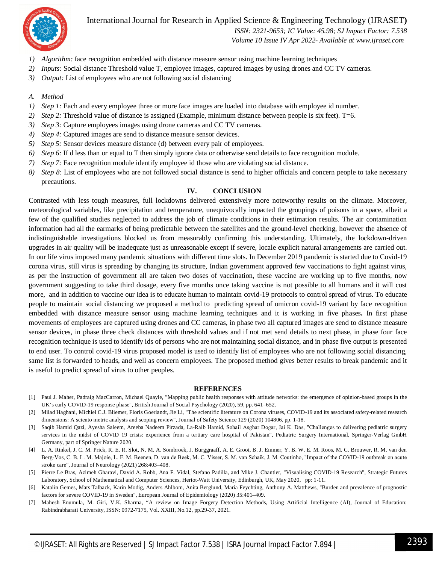

International Journal for Research in Applied Science & Engineering Technology (IJRASET**)**

 *ISSN: 2321-9653; IC Value: 45.98; SJ Impact Factor: 7.538 Volume 10 Issue IV Apr 2022- Available at www.ijraset.com*

- *1) Algorithm:* face recognition embedded with distance measure sensor using machine learning techniques
- *2) Inputs:* Social distance Threshold value T, employee images, captured images by using drones and CC TV cameras.
- *3) Output:* List of employees who are not following social distancing
- *A. Method*
- *1) Step 1:* Each and every employee three or more face images are loaded into database with employee id number.
- *2) Step 2:* Threshold value of distance is assigned (Example, minimum distance between people is six feet). T=6.
- *3) Step 3:* Capture employees images using drone cameras and CC TV cameras.
- *4) Step 4:* Captured images are send to distance measure sensor devices.
- *5) Step 5:* Sensor devices measure distance (d) between every pair of employees.
- *6) Step 6:* If d less than or equal to T then simply ignore data or otherwise send details to face recognition module.
- *7) Step 7:* Face recognition module identify employee id those who are violating social distance.
- *8) Step 8:* List of employees who are not followed social distance is send to higher officials and concern people to take necessary precautions.

#### **IV. CONCLUSION**

Contrasted with less tough measures, full lockdowns delivered extensively more noteworthy results on the climate. Moreover, meteorological variables, like precipitation and temperature, unequivocally impacted the groupings of poisons in a space, albeit a few of the qualified studies neglected to address the job of climate conditions in their estimation results. The air contamination information had all the earmarks of being predictable between the satellites and the ground-level checking, however the absence of indistinguishable investigations blocked us from measurably confirming this understanding. Ultimately, the lockdown-driven upgrades in air quality will be inadequate just as unreasonable except if severe, locale explicit natural arrangements are carried out. In our life virus imposed many pandemic situations with different time slots. In December 2019 pandemic is started due to Covid-19 corona virus, still virus is spreading by changing its structure, Indian government approved few vaccinations to fight against virus, as per the instruction of government all are taken two doses of vaccination, these vaccine are working up to five months, now government suggesting to take third dosage, every five months once taking vaccine is not possible to all humans and it will cost more, and in addition to vaccine our idea is to educate human to maintain covid-19 protocols to control spread of virus. To educate people to maintain social distancing we proposed a method to predicting spread of omicron covid-19 variant by face recognition embedded with distance measure sensor using machine learning techniques and it is working in five phases**.** In first phase movements of employees are captured using drones and CC cameras, in phase two all captured images are send to distance measure sensor devices, in phase three check distances with threshold values and if not met send details to next phase, in phase four face recognition technique is used to identify ids of persons who are not maintaining social distance, and in phase five output is presented to end user. To control covid-19 virus proposed model is used to identify list of employees who are not following social distancing, same list is forwarded to heads, and well as concern employees. The proposed method gives better results to break pandemic and it is useful to predict spread of virus to other peoples.

#### **REFERENCES**

- [1] Paul J. Maher, Padraig MacCarron, Michael Quayle, "Mapping public health responses with attitude networks: the emergence of opinion-based groups in the UK's early COVID-19 response phase", British Journal of Social Psychology (2020), 59, pp. 641–652.
- [2] Milad Haghani, Michiel C.J. Bliemer, Floris Goerlandt, Jie Li, "The scientific literature on Corona viruses, COVID-19 and its associated safety-related research dimensions: A sciento metric analysis and scoping review", Journal of Safety Science 129 (2020) 104806, pp. 1-18.
- [3] Saqib Hamid Qazi, Ayesha Saleem, Areeba Nadeem Pirzada, La‑Raib Hamid, Sohail Asghar Dogar, Jai K. Das, "Challenges to delivering pediatric surgery services in the midst of COVID 19 crisis: experience from a tertiary care hospital of Pakistan", Pediatric Surgery International, Springer-Verlag GmbH Germany, part of Springer Nature 2020.
- [4] L. A. Rinkel, J. C. M. Prick, R. E. R. Slot, N. M. A. Sombroek, J. Burggraaff, A. E. Groot, B. J. Emmer, Y. B. W. E. M. Roos, M. C. Brouwer, R. M. van den Berg‑Vos, C. B. L. M. Majoie, L. F. M. Beenen, D. van de Beek, M. C. Visser, S. M. van Schaik, J. M. Coutinho, "Impact of the COVID‑19 outbreak on acute stroke care", Journal of Neurology (2021) 268:403–408.
- [5] Pierre Le Bras, Azimeh Gharavi, David A. Robb, Ana F. Vidal, Stefano Padilla, and Mike J. Chantler, "Visualising COVID-19 Research", Strategic Futures Laboratory, School of Mathematical and Computer Sciences, Heriot-Watt University, Edinburgh, UK, May 2020, pp: 1-11.
- [6] Katalin Gemes, Mats Talback, Karin Modig, Anders Ahlbom, Anita Berglund, Maria Feychting, Anthony A. Matthews, "Burden and prevalence of prognostic factors for severe COVID‑19 in Sweden", European Journal of Epidemiology (2020) 35:401–409.
- [7] Mahesh Enumula, M. Giri, V.K. Sharma, "A review on Image Forgery Detection Methods, Using Artificial Intelligence (AI), Journal of Education: Rabindrabharati University, ISSN: 0972-7175, Vol. XXIII, No.12, pp.29-37, 2021.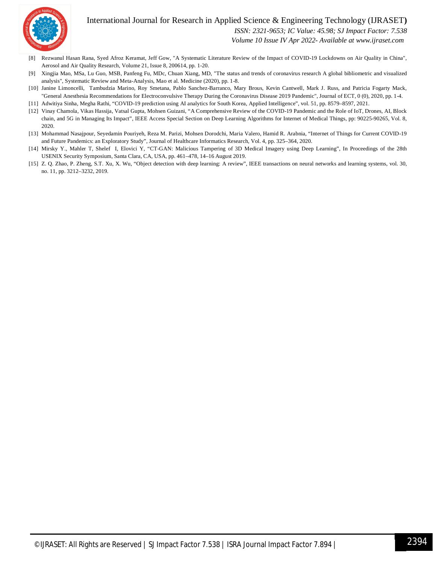#### International Journal for Research in Applied Science & Engineering Technology (IJRASET**)**



 *ISSN: 2321-9653; IC Value: 45.98; SJ Impact Factor: 7.538*

 *Volume 10 Issue IV Apr 2022- Available at www.ijraset.com*

- [8] Rezwanul Hasan Rana, Syed Afroz Keramat, Jeff Gow, "A Systematic Literature Review of the Impact of COVID-19 Lockdowns on Air Quality in China", Aerosol and Air Quality Research, Volume 21, Issue 8, 200614, pp. 1-20.
- [9] Xingjia Mao, MSa, Lu Guo, MSB, Panfeng Fu, MDc, Chuan Xiang, MD, "The status and trends of coronavirus research A global bibliometric and visualized analysis", Systematic Review and Meta-Analysis, Mao et al. Medicine (2020), pp. 1-8.
- [10] Janine Limoncelli, Tambudzia Marino, Roy Smetana, Pablo Sanchez-Barranco, Mary Brous, Kevin Cantwell, Mark J. Russ, and Patricia Fogarty Mack, "General Anesthesia Recommendations for Electroconvulsive Therapy During the Coronavirus Disease 2019 Pandemic", Journal of ECT, 0 (0), 2020, pp. 1-4.
- [11] Adwitiya Sinha, Megha Rathi, "COVID-19 prediction using AI analytics for South Korea, Applied Intelligence", vol. 51, pp. 8579–8597, 2021.
- [12] Vinay Chamola, Vikas Hassija, Vatsal Gupta, Mohsen Guizani, "A Comprehensive Review of the COVID-19 Pandemic and the Role of IoT, Drones, AI, Block chain, and 5G in Managing Its Impact", IEEE Access Special Section on Deep Learning Algorithms for Internet of Medical Things, pp: 90225-90265, Vol. 8, 2020.
- [13] Mohammad Nasajpour, Seyedamin Pouriyeh, Reza M. Parizi, Mohsen Dorodchi, Maria Valero, Hamid R. Arabnia, "Internet of Things for Current COVID-19 and Future Pandemics: an Exploratory Study", Journal of Healthcare Informatics Research, Vol. 4, pp. 325–364, 2020.
- [14] Mirsky Y., Mahler T, Shelef I, Elovici Y, "CT-GAN: Malicious Tampering of 3D Medical Imagery using Deep Learning", In Proceedings of the 28th USENIX Security Symposium, Santa Clara, CA, USA, pp. 461–478, 14–16 August 2019.
- [15] Z. Q. Zhao, P. Zheng, S.T. Xu, X. Wu, "Object detection with deep learning: A review", IEEE transactions on neural networks and learning systems, vol. 30, no. 11, pp. 3212–3232, 2019.